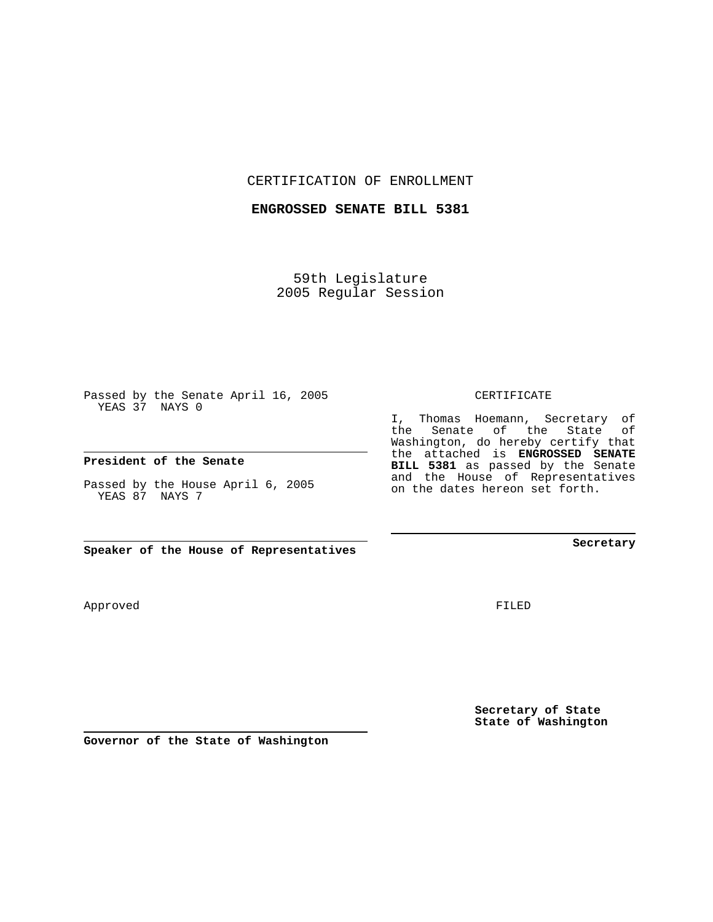CERTIFICATION OF ENROLLMENT

**ENGROSSED SENATE BILL 5381**

59th Legislature 2005 Regular Session

Passed by the Senate April 16, 2005 YEAS 37 NAYS 0

**President of the Senate**

Passed by the House April 6, 2005 YEAS 87 NAYS 7

**Speaker of the House of Representatives**

Approved

**Secretary of State**

**State of Washington**

FILED

## CERTIFICATE

I, Thomas Hoemann, Secretary of the Senate of the State of Washington, do hereby certify that the attached is **ENGROSSED SENATE BILL 5381** as passed by the Senate

and the House of Representatives on the dates hereon set forth.

**Secretary**

**Governor of the State of Washington**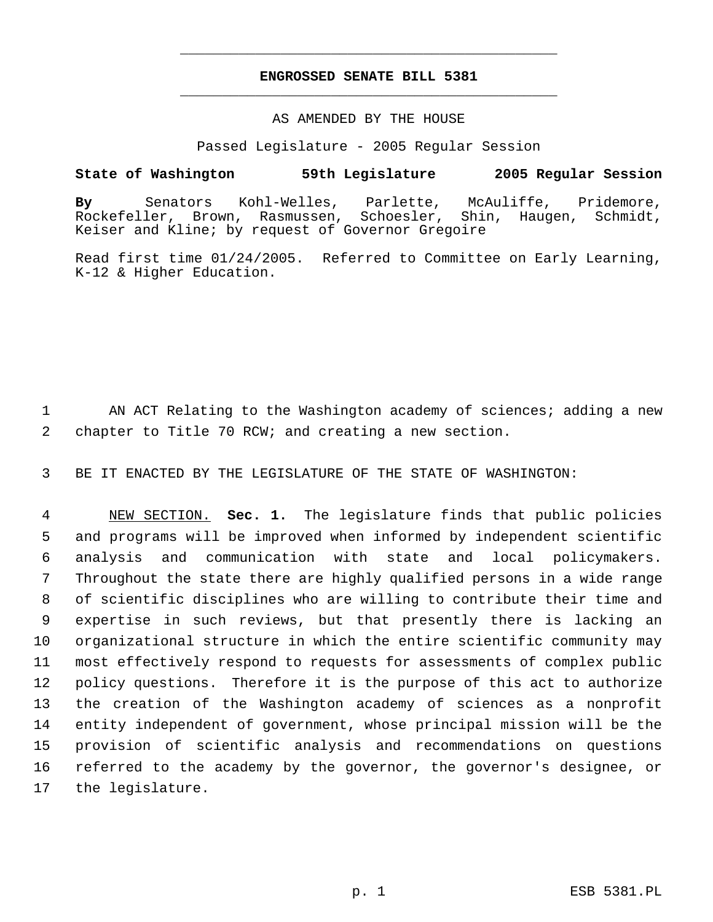## **ENGROSSED SENATE BILL 5381** \_\_\_\_\_\_\_\_\_\_\_\_\_\_\_\_\_\_\_\_\_\_\_\_\_\_\_\_\_\_\_\_\_\_\_\_\_\_\_\_\_\_\_\_\_

\_\_\_\_\_\_\_\_\_\_\_\_\_\_\_\_\_\_\_\_\_\_\_\_\_\_\_\_\_\_\_\_\_\_\_\_\_\_\_\_\_\_\_\_\_

## AS AMENDED BY THE HOUSE

Passed Legislature - 2005 Regular Session

## **State of Washington 59th Legislature 2005 Regular Session**

**By** Senators Kohl-Welles, Parlette, McAuliffe, Pridemore, Rockefeller, Brown, Rasmussen, Schoesler, Shin, Haugen, Schmidt, Keiser and Kline; by request of Governor Gregoire

Read first time 01/24/2005. Referred to Committee on Early Learning, K-12 & Higher Education.

1 AN ACT Relating to the Washington academy of sciences; adding a new 2 chapter to Title 70 RCW; and creating a new section.

3 BE IT ENACTED BY THE LEGISLATURE OF THE STATE OF WASHINGTON:

 NEW SECTION. **Sec. 1.** The legislature finds that public policies and programs will be improved when informed by independent scientific analysis and communication with state and local policymakers. Throughout the state there are highly qualified persons in a wide range of scientific disciplines who are willing to contribute their time and expertise in such reviews, but that presently there is lacking an organizational structure in which the entire scientific community may most effectively respond to requests for assessments of complex public policy questions. Therefore it is the purpose of this act to authorize the creation of the Washington academy of sciences as a nonprofit entity independent of government, whose principal mission will be the provision of scientific analysis and recommendations on questions referred to the academy by the governor, the governor's designee, or the legislature.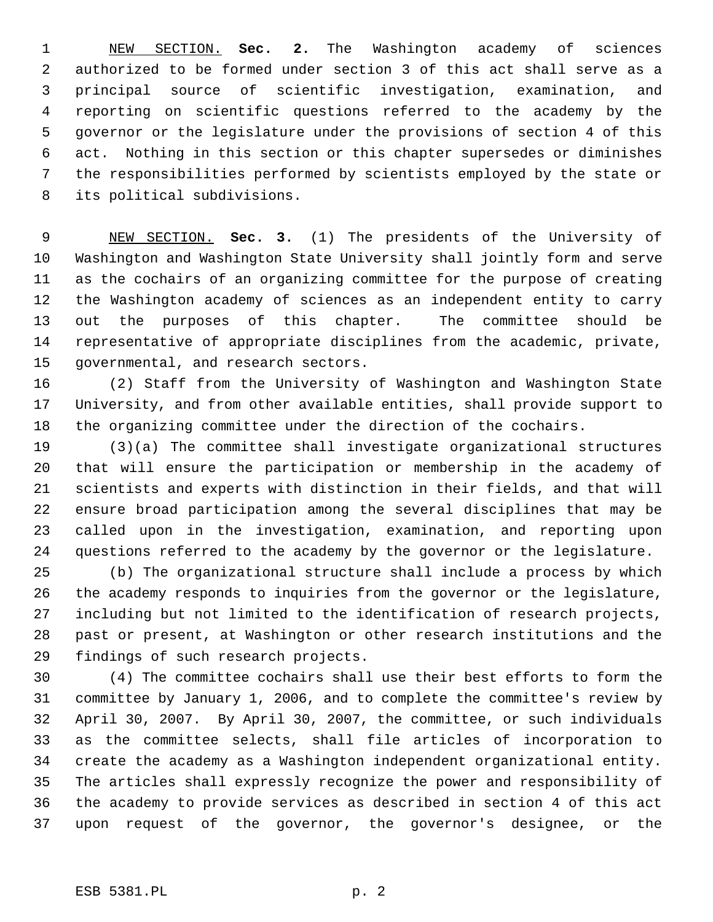NEW SECTION. **Sec. 2.** The Washington academy of sciences authorized to be formed under section 3 of this act shall serve as a principal source of scientific investigation, examination, and reporting on scientific questions referred to the academy by the governor or the legislature under the provisions of section 4 of this act. Nothing in this section or this chapter supersedes or diminishes the responsibilities performed by scientists employed by the state or its political subdivisions.

 NEW SECTION. **Sec. 3.** (1) The presidents of the University of Washington and Washington State University shall jointly form and serve as the cochairs of an organizing committee for the purpose of creating the Washington academy of sciences as an independent entity to carry out the purposes of this chapter. The committee should be representative of appropriate disciplines from the academic, private, governmental, and research sectors.

 (2) Staff from the University of Washington and Washington State University, and from other available entities, shall provide support to the organizing committee under the direction of the cochairs.

 (3)(a) The committee shall investigate organizational structures that will ensure the participation or membership in the academy of scientists and experts with distinction in their fields, and that will ensure broad participation among the several disciplines that may be called upon in the investigation, examination, and reporting upon questions referred to the academy by the governor or the legislature.

 (b) The organizational structure shall include a process by which the academy responds to inquiries from the governor or the legislature, including but not limited to the identification of research projects, past or present, at Washington or other research institutions and the findings of such research projects.

 (4) The committee cochairs shall use their best efforts to form the committee by January 1, 2006, and to complete the committee's review by April 30, 2007. By April 30, 2007, the committee, or such individuals as the committee selects, shall file articles of incorporation to create the academy as a Washington independent organizational entity. The articles shall expressly recognize the power and responsibility of the academy to provide services as described in section 4 of this act upon request of the governor, the governor's designee, or the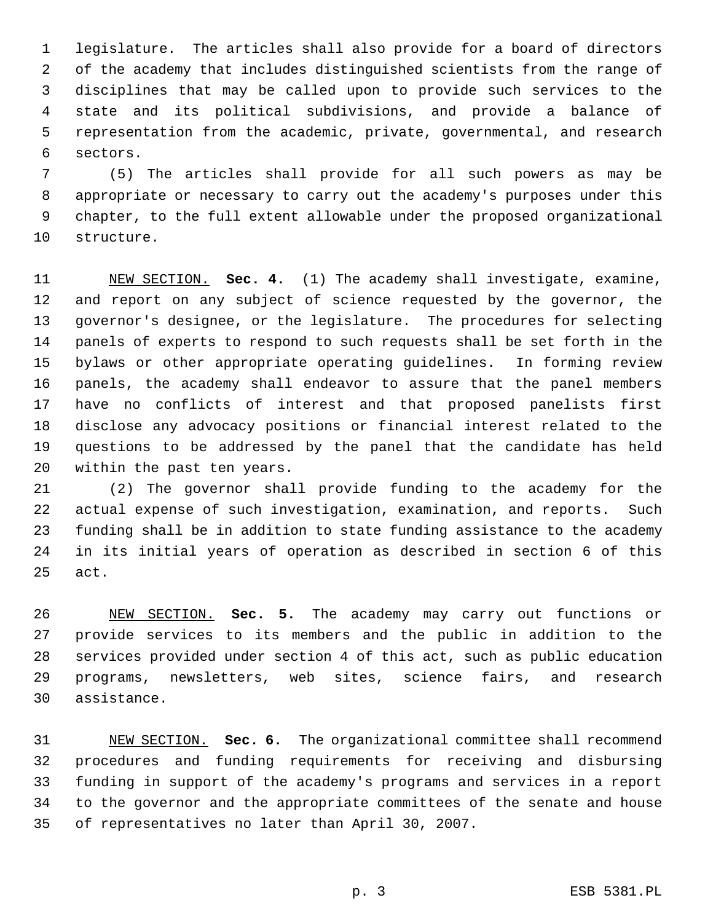legislature. The articles shall also provide for a board of directors of the academy that includes distinguished scientists from the range of disciplines that may be called upon to provide such services to the state and its political subdivisions, and provide a balance of representation from the academic, private, governmental, and research sectors.

 (5) The articles shall provide for all such powers as may be appropriate or necessary to carry out the academy's purposes under this chapter, to the full extent allowable under the proposed organizational structure.

 NEW SECTION. **Sec. 4.** (1) The academy shall investigate, examine, and report on any subject of science requested by the governor, the governor's designee, or the legislature. The procedures for selecting panels of experts to respond to such requests shall be set forth in the bylaws or other appropriate operating guidelines. In forming review panels, the academy shall endeavor to assure that the panel members have no conflicts of interest and that proposed panelists first disclose any advocacy positions or financial interest related to the questions to be addressed by the panel that the candidate has held within the past ten years.

 (2) The governor shall provide funding to the academy for the actual expense of such investigation, examination, and reports. Such funding shall be in addition to state funding assistance to the academy in its initial years of operation as described in section 6 of this act.

 NEW SECTION. **Sec. 5.** The academy may carry out functions or provide services to its members and the public in addition to the services provided under section 4 of this act, such as public education programs, newsletters, web sites, science fairs, and research assistance.

 NEW SECTION. **Sec. 6.** The organizational committee shall recommend procedures and funding requirements for receiving and disbursing funding in support of the academy's programs and services in a report to the governor and the appropriate committees of the senate and house of representatives no later than April 30, 2007.